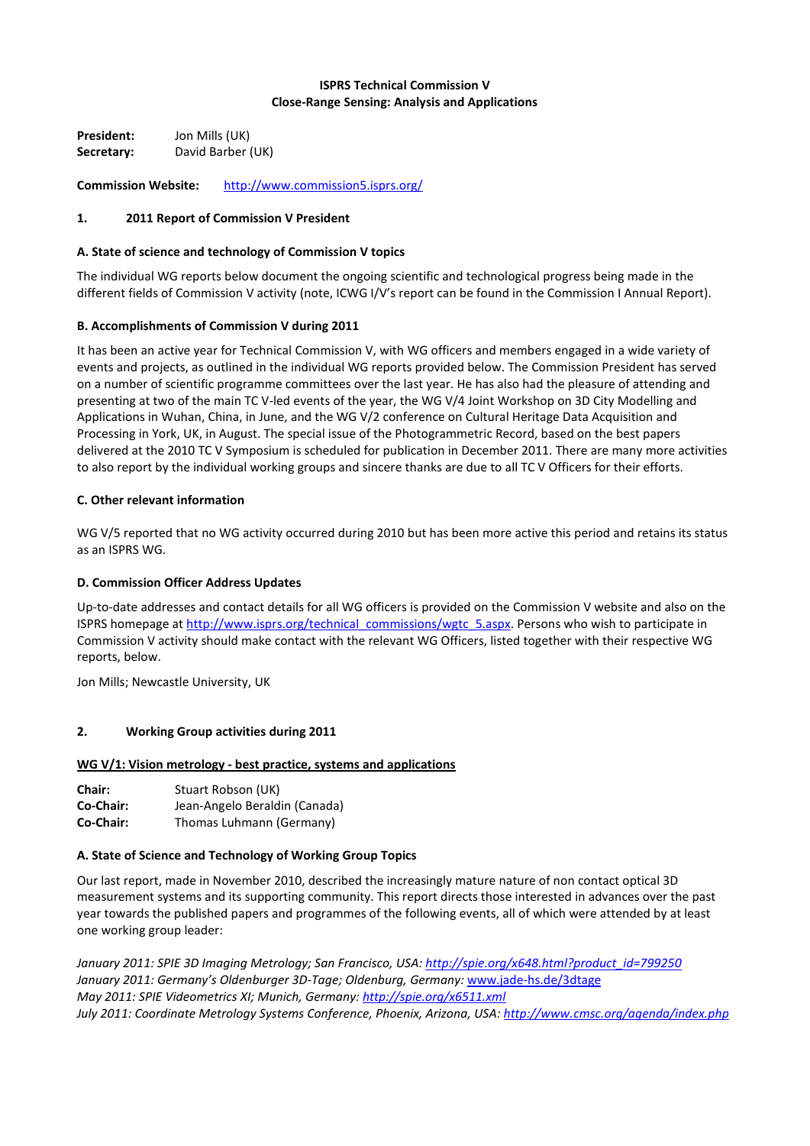## **ISPRS Technical Commission V Close-Range Sensing: Analysis and Applications**

**President:** Jon Mills (UK) **Secretary:** David Barber (UK)

**Commission Website:** <http://www.commission5.isprs.org/>

### **1. 2011 Report of Commission V President**

### **A. State of science and technology of Commission V topics**

The individual WG reports below document the ongoing scientific and technological progress being made in the different fields of Commission V activity (note, ICWG I/V's report can be found in the Commission I Annual Report).

### **B. Accomplishments of Commission V during 2011**

It has been an active year for Technical Commission V, with WG officers and members engaged in a wide variety of events and projects, as outlined in the individual WG reports provided below. The Commission President has served on a number of scientific programme committees over the last year. He has also had the pleasure of attending and presenting at two of the main TC V-led events of the year, the WG V/4 Joint Workshop on 3D City Modelling and Applications in Wuhan, China, in June, and the WG V/2 conference on Cultural Heritage Data Acquisition and Processing in York, UK, in August. The special issue of the Photogrammetric Record, based on the best papers delivered at the 2010 TC V Symposium is scheduled for publication in December 2011. There are many more activities to also report by the individual working groups and sincere thanks are due to all TC V Officers for their efforts.

### **C. Other relevant information**

WG V/5 reported that no WG activity occurred during 2010 but has been more active this period and retains its status as an ISPRS WG.

### **D. Commission Officer Address Updates**

Up-to-date addresses and contact details for all WG officers is provided on the Commission V website and also on the ISPRS homepage at [http://www.isprs.org/technical\\_commissions/wgtc\\_5.aspx.](http://www.isprs.org/technical_commissions/wgtc_5.aspx) Persons who wish to participate in Commission V activity should make contact with the relevant WG Officers, listed together with their respective WG reports, below.

Jon Mills; Newcastle University, UK

### **2. Working Group activities during 2011**

### **WG V/1: Vision metrology - best practice, systems and applications**

| <b>Chair:</b> | Stuart Robson (UK)            |
|---------------|-------------------------------|
| Co-Chair:     | Jean-Angelo Beraldin (Canada) |
| Co-Chair:     | Thomas Luhmann (Germany)      |

### **A. State of Science and Technology of Working Group Topics**

Our last report, made in November 2010, described the increasingly mature nature of non contact optical 3D measurement systems and its supporting community. This report directs those interested in advances over the past year towards the published papers and programmes of the following events, all of which were attended by at least one working group leader:

*January 2011: SPIE 3D Imaging Metrology; San Francisco, USA: [http://spie.org/x648.html?product\\_id=799250](http://spie.org/x648.html?product_id=799250) January 2011: Germany's Oldenburger 3D-Tage; Oldenburg, Germany:* [www.jade-hs.de/3dtage](http://www.jade-hs.de/3dtage) *May 2011: SPIE Videometrics XI; Munich, Germany[: http://spie.org/x6511.xml](http://spie.org/x6511.xml) July 2011: Coordinate Metrology Systems Conference, Phoenix, Arizona, USA:<http://www.cmsc.org/agenda/index.php>*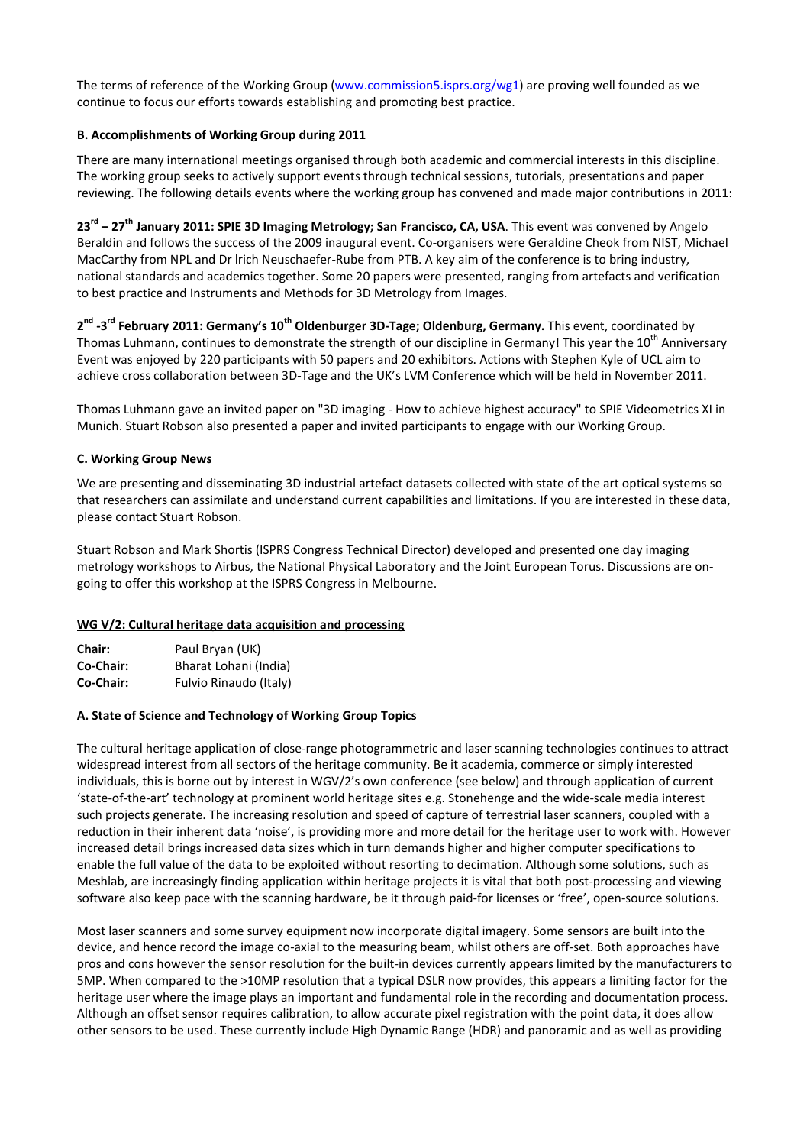The terms of reference of the Working Group [\(www.commission5.isprs.org/wg1\)](http://www.commission5.isprs.org/wg1) are proving well founded as we continue to focus our efforts towards establishing and promoting best practice.

# **B. Accomplishments of Working Group during 2011**

There are many international meetings organised through both academic and commercial interests in this discipline. The working group seeks to actively support events through technical sessions, tutorials, presentations and paper reviewing. The following details events where the working group has convened and made major contributions in 2011:

**23rd – 27th January 2011: SPIE 3D Imaging Metrology; San Francisco, CA, USA**. This event was convened by Angelo Beraldin and follows the success of the 2009 inaugural event. Co-organisers were Geraldine Cheok from NIST, Michael MacCarthy from NPL and Dr lrich Neuschaefer-Rube from PTB. A key aim of the conference is to bring industry, national standards and academics together. Some 20 papers were presented, ranging from artefacts and verification to best practice and Instruments and Methods for 3D Metrology from Images.

**2 nd -3rd February 2011: Germany's 10th Oldenburger 3D-Tage; Oldenburg, Germany.** This event, coordinated by Thomas Luhmann, continues to demonstrate the strength of our discipline in Germany! This year the 10<sup>th</sup> Anniversary Event was enjoyed by 220 participants with 50 papers and 20 exhibitors. Actions with Stephen Kyle of UCL aim to achieve cross collaboration between 3D-Tage and the UK's LVM Conference which will be held in November 2011.

Thomas Luhmann gave an invited paper on "3D imaging - How to achieve highest accuracy" to SPIE Videometrics XI in Munich. Stuart Robson also presented a paper and invited participants to engage with our Working Group.

## **C. Working Group News**

We are presenting and disseminating 3D industrial artefact datasets collected with state of the art optical systems so that researchers can assimilate and understand current capabilities and limitations. If you are interested in these data, please contact Stuart Robson.

Stuart Robson and Mark Shortis (ISPRS Congress Technical Director) developed and presented one day imaging metrology workshops to Airbus, the National Physical Laboratory and the Joint European Torus. Discussions are ongoing to offer this workshop at the ISPRS Congress in Melbourne.

### **WG V/2: Cultural heritage data acquisition and processing**

| Chair:    | Paul Bryan (UK)        |
|-----------|------------------------|
| Co-Chair: | Bharat Lohani (India)  |
| Co-Chair: | Fulvio Rinaudo (Italy) |

#### **A. State of Science and Technology of Working Group Topics**

The cultural heritage application of close-range photogrammetric and laser scanning technologies continues to attract widespread interest from all sectors of the heritage community. Be it academia, commerce or simply interested individuals, this is borne out by interest in WGV/2's own conference (see below) and through application of current 'state-of-the-art' technology at prominent world heritage sites e.g. Stonehenge and the wide-scale media interest such projects generate. The increasing resolution and speed of capture of terrestrial laser scanners, coupled with a reduction in their inherent data 'noise', is providing more and more detail for the heritage user to work with. However increased detail brings increased data sizes which in turn demands higher and higher computer specifications to enable the full value of the data to be exploited without resorting to decimation. Although some solutions, such as Meshlab, are increasingly finding application within heritage projects it is vital that both post-processing and viewing software also keep pace with the scanning hardware, be it through paid-for licenses or 'free', open-source solutions.

Most laser scanners and some survey equipment now incorporate digital imagery. Some sensors are built into the device, and hence record the image co-axial to the measuring beam, whilst others are off-set. Both approaches have pros and cons however the sensor resolution for the built-in devices currently appears limited by the manufacturers to 5MP. When compared to the >10MP resolution that a typical DSLR now provides, this appears a limiting factor for the heritage user where the image plays an important and fundamental role in the recording and documentation process. Although an offset sensor requires calibration, to allow accurate pixel registration with the point data, it does allow other sensors to be used. These currently include High Dynamic Range (HDR) and panoramic and as well as providing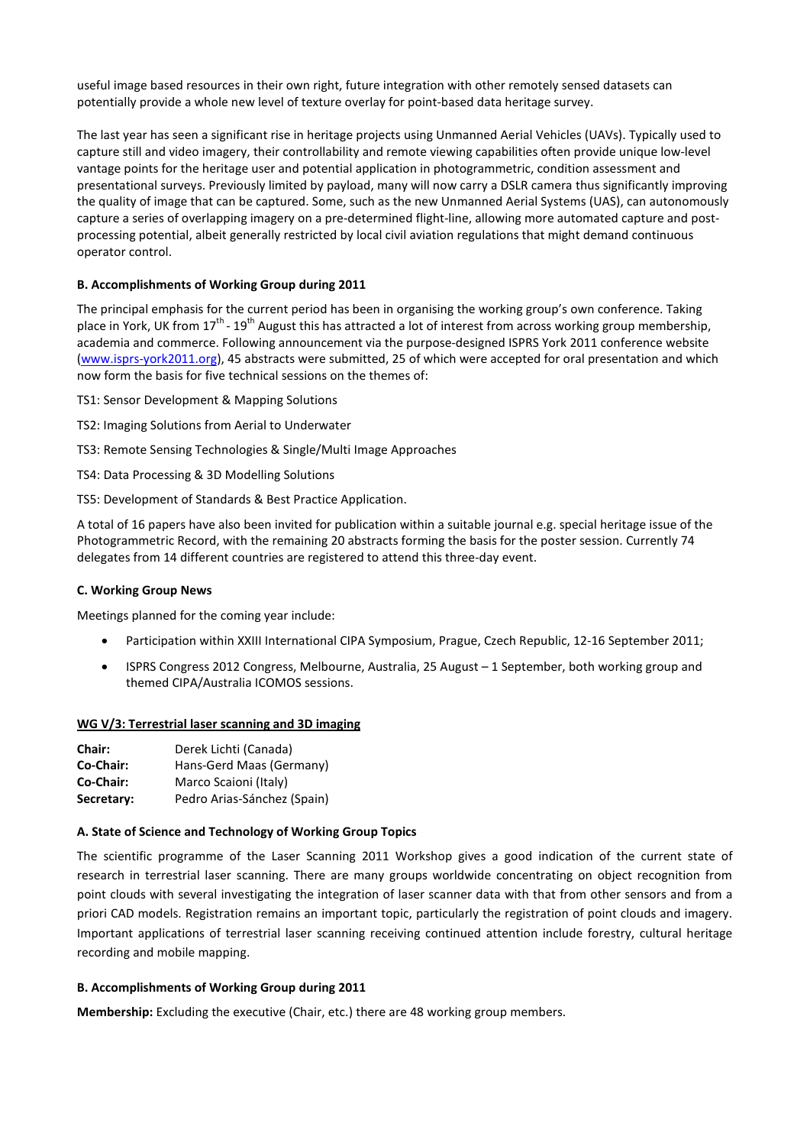useful image based resources in their own right, future integration with other remotely sensed datasets can potentially provide a whole new level of texture overlay for point-based data heritage survey.

The last year has seen a significant rise in heritage projects using Unmanned Aerial Vehicles (UAVs). Typically used to capture still and video imagery, their controllability and remote viewing capabilities often provide unique low-level vantage points for the heritage user and potential application in photogrammetric, condition assessment and presentational surveys. Previously limited by payload, many will now carry a DSLR camera thus significantly improving the quality of image that can be captured. Some, such as the new Unmanned Aerial Systems (UAS), can autonomously capture a series of overlapping imagery on a pre-determined flight-line, allowing more automated capture and postprocessing potential, albeit generally restricted by local civil aviation regulations that might demand continuous operator control.

## **B. Accomplishments of Working Group during 2011**

The principal emphasis for the current period has been in organising the working group's own conference. Taking place in York, UK from  $17^{th}$  -  $19^{th}$  August this has attracted a lot of interest from across working group membership, academia and commerce. Following announcement via the purpose-designed ISPRS York 2011 conference website [\(www.isprs-york2011.org\)](http://www.isprs-york2011.org/), 45 abstracts were submitted, 25 of which were accepted for oral presentation and which now form the basis for five technical sessions on the themes of:

- TS1: Sensor Development & Mapping Solutions
- TS2: Imaging Solutions from Aerial to Underwater
- TS3: Remote Sensing Technologies & Single/Multi Image Approaches
- TS4: Data Processing & 3D Modelling Solutions
- TS5: Development of Standards & Best Practice Application.

A total of 16 papers have also been invited for publication within a suitable journal e.g. special heritage issue of the Photogrammetric Record, with the remaining 20 abstracts forming the basis for the poster session. Currently 74 delegates from 14 different countries are registered to attend this three-day event.

### **C. Working Group News**

Meetings planned for the coming year include:

- Participation within XXIII International CIPA Symposium, Prague, Czech Republic, 12-16 September 2011;
- ISPRS Congress 2012 Congress, Melbourne, Australia, 25 August 1 September, both working group and themed CIPA/Australia ICOMOS sessions.

### **WG V/3: Terrestrial laser scanning and 3D imaging**

| <b>Chair:</b> | Derek Lichti (Canada)       |
|---------------|-----------------------------|
| Co-Chair:     | Hans-Gerd Maas (Germany)    |
| Co-Chair:     | Marco Scaioni (Italy)       |
| Secretary:    | Pedro Arias-Sánchez (Spain) |

### **A. State of Science and Technology of Working Group Topics**

The scientific programme of the Laser Scanning 2011 Workshop gives a good indication of the current state of research in terrestrial laser scanning. There are many groups worldwide concentrating on object recognition from point clouds with several investigating the integration of laser scanner data with that from other sensors and from a priori CAD models. Registration remains an important topic, particularly the registration of point clouds and imagery. Important applications of terrestrial laser scanning receiving continued attention include forestry, cultural heritage recording and mobile mapping.

### **B. Accomplishments of Working Group during 2011**

**Membership:** Excluding the executive (Chair, etc.) there are 48 working group members.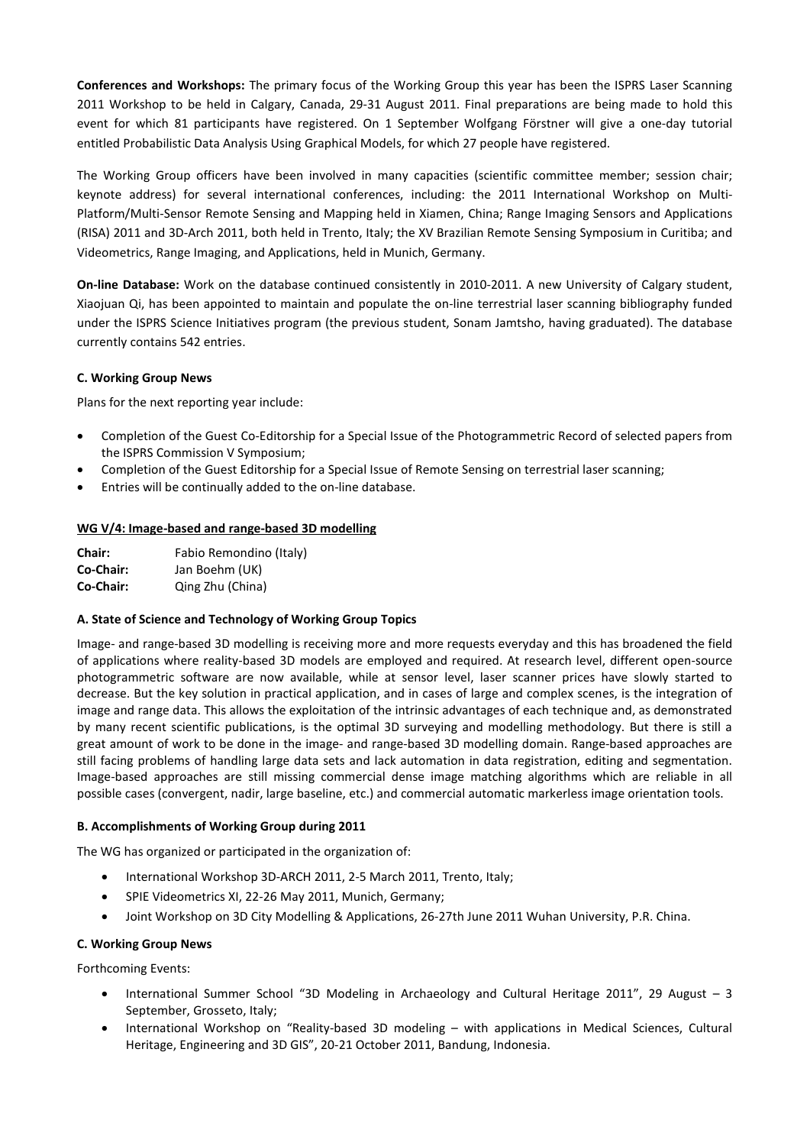**Conferences and Workshops:** The primary focus of the Working Group this year has been the ISPRS Laser Scanning 2011 Workshop to be held in Calgary, Canada, 29-31 August 2011. Final preparations are being made to hold this event for which 81 participants have registered. On 1 September Wolfgang Förstner will give a one-day tutorial entitled Probabilistic Data Analysis Using Graphical Models, for which 27 people have registered.

The Working Group officers have been involved in many capacities (scientific committee member; session chair; keynote address) for several international conferences, including: the 2011 International Workshop on Multi-Platform/Multi-Sensor Remote Sensing and Mapping held in Xiamen, China; Range Imaging Sensors and Applications (RISA) 2011 and 3D-Arch 2011, both held in Trento, Italy; the XV Brazilian Remote Sensing Symposium in Curitiba; and Videometrics, Range Imaging, and Applications, held in Munich, Germany.

**On-line Database:** Work on the database continued consistently in 2010-2011. A new University of Calgary student, Xiaojuan Qi, has been appointed to maintain and populate the on-line terrestrial laser scanning bibliography funded under the ISPRS Science Initiatives program (the previous student, Sonam Jamtsho, having graduated). The database currently contains 542 entries.

## **C. Working Group News**

Plans for the next reporting year include:

- Completion of the Guest Co-Editorship for a Special Issue of the Photogrammetric Record of selected papers from the ISPRS Commission V Symposium;
- Completion of the Guest Editorship for a Special Issue of Remote Sensing on terrestrial laser scanning;
- Entries will be continually added to the on-line database.

## **WG V/4: Image-based and range-based 3D modelling**

| Chair:    | Fabio Remondino (Italy) |
|-----------|-------------------------|
| Co-Chair: | Jan Boehm (UK)          |
| Co-Chair: | Qing Zhu (China)        |

### **A. State of Science and Technology of Working Group Topics**

Image- and range-based 3D modelling is receiving more and more requests everyday and this has broadened the field of applications where reality-based 3D models are employed and required. At research level, different open-source photogrammetric software are now available, while at sensor level, laser scanner prices have slowly started to decrease. But the key solution in practical application, and in cases of large and complex scenes, is the integration of image and range data. This allows the exploitation of the intrinsic advantages of each technique and, as demonstrated by many recent scientific publications, is the optimal 3D surveying and modelling methodology. But there is still a great amount of work to be done in the image- and range-based 3D modelling domain. Range-based approaches are still facing problems of handling large data sets and lack automation in data registration, editing and segmentation. Image-based approaches are still missing commercial dense image matching algorithms which are reliable in all possible cases (convergent, nadir, large baseline, etc.) and commercial automatic markerless image orientation tools.

### **B. Accomplishments of Working Group during 2011**

The WG has organized or participated in the organization of:

- International Workshop 3D-ARCH 2011, 2-5 March 2011, Trento, Italy;
- SPIE Videometrics XI, 22-26 May 2011, Munich, Germany;
- Joint Workshop on 3D City Modelling & Applications, 26-27th June 2011 Wuhan University, P.R. China.

### **C. Working Group News**

Forthcoming Events:

- International Summer School "3D Modeling in Archaeology and Cultural Heritage 2011", 29 August 3 September, Grosseto, Italy;
- International Workshop on "Reality-based 3D modeling with applications in Medical Sciences, Cultural Heritage, Engineering and 3D GIS", 20-21 October 2011, Bandung, Indonesia.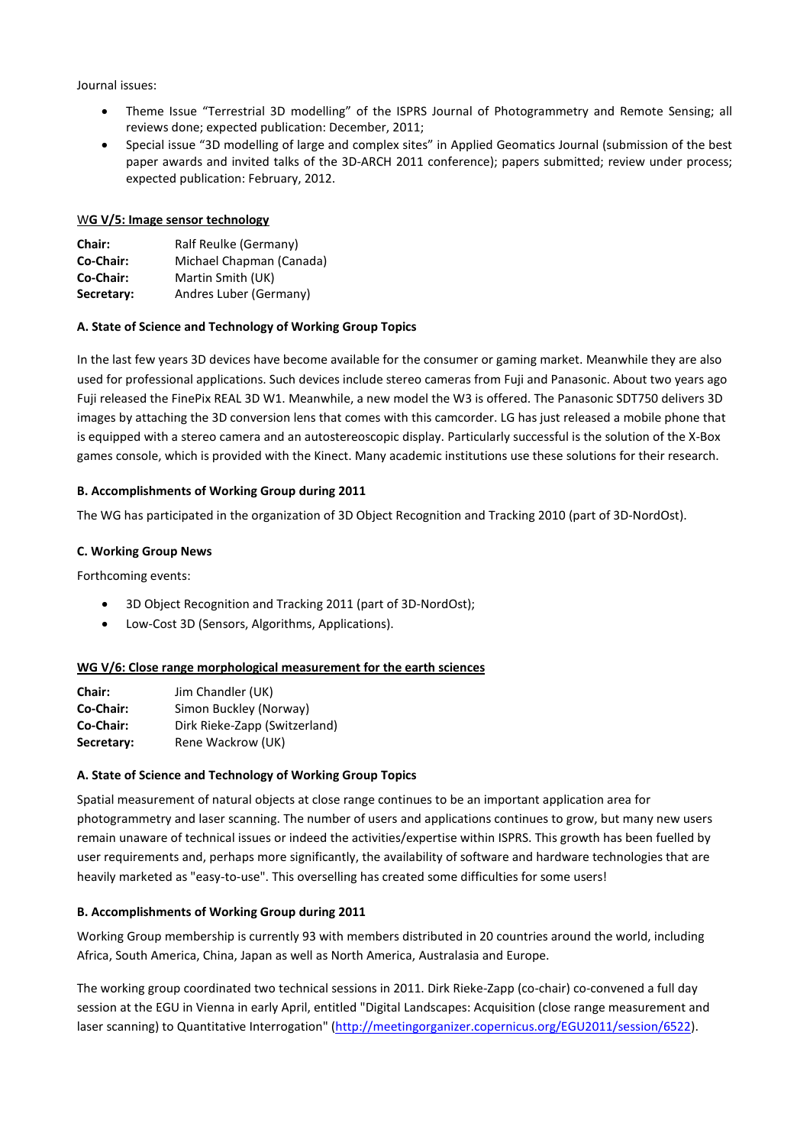Journal issues:

- Theme Issue "Terrestrial 3D modelling" of the ISPRS Journal of Photogrammetry and Remote Sensing; all reviews done; expected publication: December, 2011;
- Special issue "3D modelling of large and complex sites" in Applied Geomatics Journal (submission of the best paper awards and invited talks of the 3D-ARCH 2011 conference); papers submitted; review under process; expected publication: February, 2012.

### W**G V/5: Image sensor technology**

| Chair:     | Ralf Reulke (Germany)    |
|------------|--------------------------|
| Co-Chair:  | Michael Chapman (Canada) |
| Co-Chair:  | Martin Smith (UK)        |
| Secretary: | Andres Luber (Germany)   |

### **A. State of Science and Technology of Working Group Topics**

In the last few years 3D devices have become available for the consumer or gaming market. Meanwhile they are also used for professional applications. Such devices include stereo cameras from Fuji and Panasonic. About two years ago Fuji released the FinePix REAL 3D W1. Meanwhile, a new model the W3 is offered. The Panasonic SDT750 delivers 3D images by attaching the 3D conversion lens that comes with this camcorder. LG has just released a mobile phone that is equipped with a stereo camera and an autostereoscopic display. Particularly successful is the solution of the X-Box games console, which is provided with the Kinect. Many academic institutions use these solutions for their research.

### **B. Accomplishments of Working Group during 2011**

The WG has participated in the organization of 3D Object Recognition and Tracking 2010 (part of 3D-NordOst).

### **C. Working Group News**

Forthcoming events:

- 3D Object Recognition and Tracking 2011 (part of 3D-NordOst);
- Low-Cost 3D (Sensors, Algorithms, Applications).

#### **WG V/6: Close range morphological measurement for the earth sciences**

| Chair:     | Jim Chandler (UK)             |
|------------|-------------------------------|
| Co-Chair:  | Simon Buckley (Norway)        |
| Co-Chair:  | Dirk Rieke-Zapp (Switzerland) |
| Secretary: | Rene Wackrow (UK)             |

### **A. State of Science and Technology of Working Group Topics**

Spatial measurement of natural objects at close range continues to be an important application area for photogrammetry and laser scanning. The number of users and applications continues to grow, but many new users remain unaware of technical issues or indeed the activities/expertise within ISPRS. This growth has been fuelled by user requirements and, perhaps more significantly, the availability of software and hardware technologies that are heavily marketed as "easy-to-use". This overselling has created some difficulties for some users!

#### **B. Accomplishments of Working Group during 2011**

Working Group membership is currently 93 with members distributed in 20 countries around the world, including Africa, South America, China, Japan as well as North America, Australasia and Europe.

The working group coordinated two technical sessions in 2011. Dirk Rieke-Zapp (co-chair) co-convened a full day session at the EGU in Vienna in early April, entitled "Digital Landscapes: Acquisition (close range measurement and laser scanning) to Quantitative Interrogation" [\(http://meetingorganizer.copernicus.org/EGU2011/session/6522\)](http://meetingorganizer.copernicus.org/EGU2011/session/6522).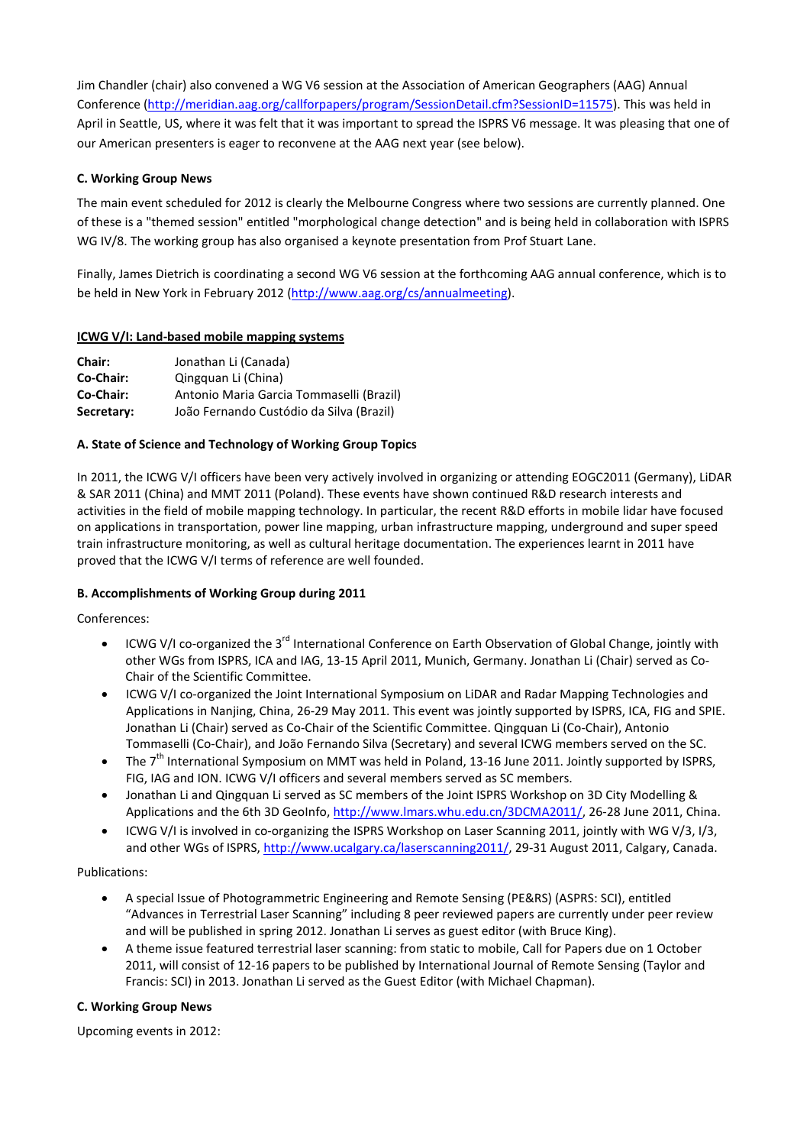Jim Chandler (chair) also convened a WG V6 session at the Association of American Geographers (AAG) Annual Conference [\(http://meridian.aag.org/callforpapers/program/SessionDetail.cfm?SessionID=11575\)](http://meridian.aag.org/callforpapers/program/SessionDetail.cfm?SessionID=11575). This was held in April in Seattle, US, where it was felt that it was important to spread the ISPRS V6 message. It was pleasing that one of our American presenters is eager to reconvene at the AAG next year (see below).

# **C. Working Group News**

The main event scheduled for 2012 is clearly the Melbourne Congress where two sessions are currently planned. One of these is a "themed session" entitled "morphological change detection" and is being held in collaboration with ISPRS WG IV/8. The working group has also organised a keynote presentation from Prof Stuart Lane.

Finally, James Dietrich is coordinating a second WG V6 session at the forthcoming AAG annual conference, which is to be held in New York in February 2012 [\(http://www.aag.org/cs/annualmeeting\)](http://www.aag.org/cs/annualmeeting).

### **ICWG V/I: Land-based mobile mapping systems**

| <b>Chair:</b> | Jonathan Li (Canada)                     |
|---------------|------------------------------------------|
| Co-Chair:     | Qingquan Li (China)                      |
| Co-Chair:     | Antonio Maria Garcia Tommaselli (Brazil) |
| Secretary:    | João Fernando Custódio da Silva (Brazil) |

## **A. State of Science and Technology of Working Group Topics**

In 2011, the ICWG V/I officers have been very actively involved in organizing or attending EOGC2011 (Germany), LiDAR & SAR 2011 (China) and MMT 2011 (Poland). These events have shown continued R&D research interests and activities in the field of mobile mapping technology. In particular, the recent R&D efforts in mobile lidar have focused on applications in transportation, power line mapping, urban infrastructure mapping, underground and super speed train infrastructure monitoring, as well as cultural heritage documentation. The experiences learnt in 2011 have proved that the ICWG V/I terms of reference are well founded.

# **B. Accomplishments of Working Group during 2011**

Conferences:

- ICWG V/I co-organized the 3<sup>rd</sup> International Conference on Earth Observation of Global Change, jointly with other WGs from ISPRS, ICA and IAG, 13-15 April 2011, Munich, Germany. Jonathan Li (Chair) served as Co-Chair of the Scientific Committee.
- ICWG V/I co-organized the Joint International Symposium on LiDAR and Radar Mapping Technologies and Applications in Nanjing, China, 26-29 May 2011. This event was jointly supported by ISPRS, ICA, FIG and SPIE. Jonathan Li (Chair) served as Co-Chair of the Scientific Committee. Qingquan Li (Co-Chair), Antonio Tommaselli (Co-Chair), and João Fernando Silva (Secretary) and several ICWG members served on the SC.
- The 7<sup>th</sup> International Symposium on MMT was held in Poland, 13-16 June 2011. Jointly supported by ISPRS, FIG, IAG and ION. ICWG V/I officers and several members served as SC members.
- Jonathan Li and Qingquan Li served as SC members of the Joint ISPRS Workshop on 3D City Modelling & Applications and the 6th 3D GeoInfo, [http://www.lmars.whu.edu.cn/3DCMA2011/,](http://www.lmars.whu.edu.cn/3DCMA2011/) 26-28 June 2011, China.
- ICWG V/I is involved in co-organizing the ISPRS Workshop on Laser Scanning 2011, jointly with WG V/3, I/3, and other WGs of ISPRS, [http://www.ucalgary.ca/laserscanning2011/,](http://www.ucalgary.ca/laserscanning2011/) 29-31 August 2011, Calgary, Canada.

Publications:

- A special Issue of Photogrammetric Engineering and Remote Sensing (PE&RS) (ASPRS: SCI), entitled "Advances in Terrestrial Laser Scanning" including 8 peer reviewed papers are currently under peer review and will be published in spring 2012. Jonathan Li serves as guest editor (with Bruce King).
- A theme issue featured terrestrial laser scanning: from static to mobile, Call for Papers due on 1 October 2011, will consist of 12-16 papers to be published by International Journal of Remote Sensing (Taylor and Francis: SCI) in 2013. Jonathan Li served as the Guest Editor (with Michael Chapman).

# **C. Working Group News**

Upcoming events in 2012: